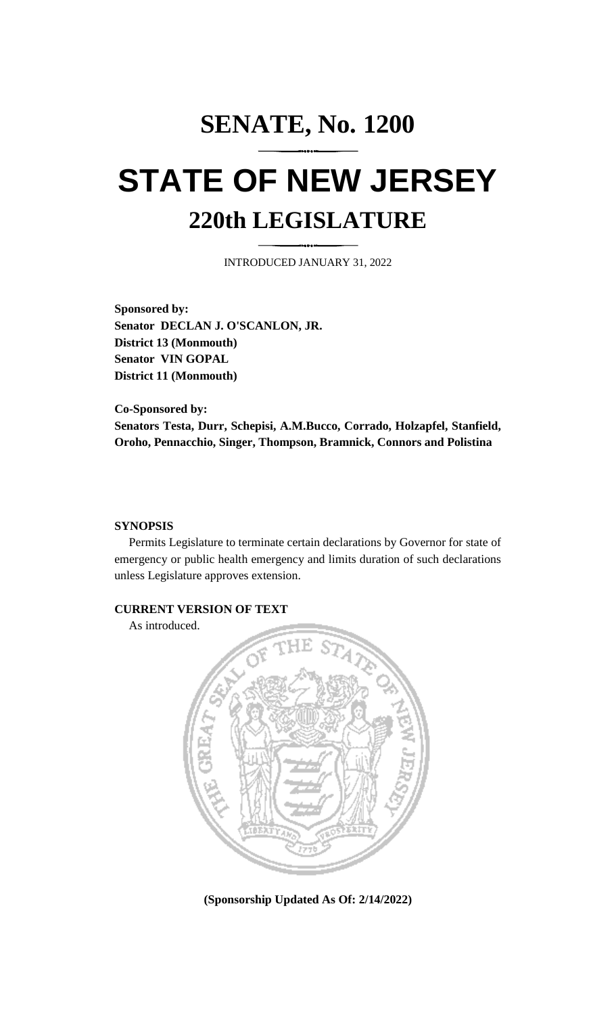# **SENATE, No. 1200 STATE OF NEW JERSEY 220th LEGISLATURE**

INTRODUCED JANUARY 31, 2022

**Sponsored by: Senator DECLAN J. O'SCANLON, JR. District 13 (Monmouth) Senator VIN GOPAL District 11 (Monmouth)**

**Co-Sponsored by: Senators Testa, Durr, Schepisi, A.M.Bucco, Corrado, Holzapfel, Stanfield, Oroho, Pennacchio, Singer, Thompson, Bramnick, Connors and Polistina**

#### **SYNOPSIS**

Permits Legislature to terminate certain declarations by Governor for state of emergency or public health emergency and limits duration of such declarations unless Legislature approves extension.

#### **CURRENT VERSION OF TEXT**

As introduced.



**(Sponsorship Updated As Of: 2/14/2022)**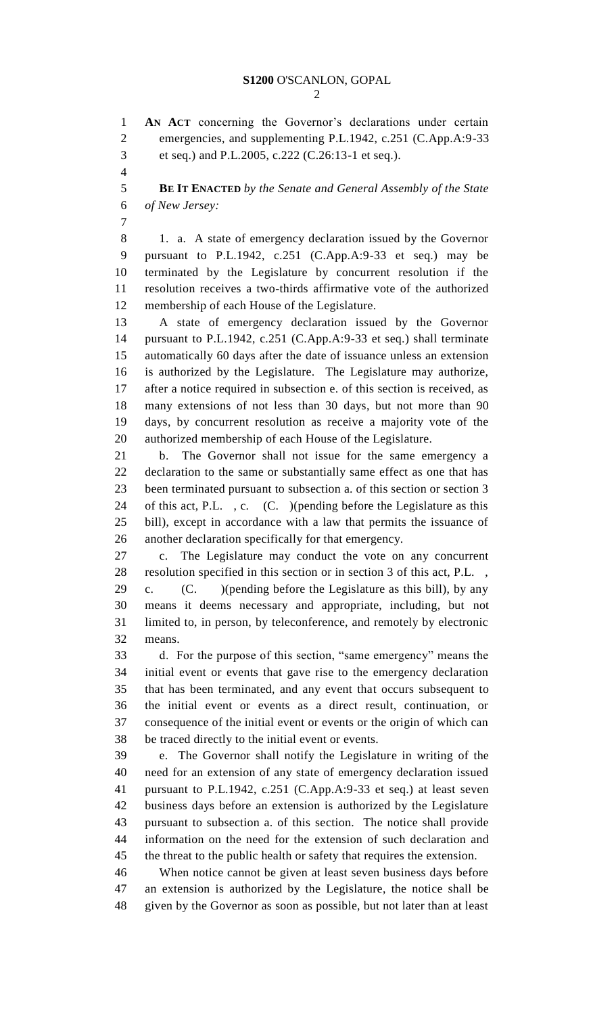**AN ACT** concerning the Governor's declarations under certain emergencies, and supplementing P.L.1942, c.251 (C.App.A:9-33 et seq.) and P.L.2005, c.222 (C.26:13-1 et seq.).

 **BE IT ENACTED** *by the Senate and General Assembly of the State of New Jersey:*

8 1. a. A state of emergency declaration issued by the Governor pursuant to P.L.1942, c.251 (C.App.A:9-33 et seq.) may be terminated by the Legislature by concurrent resolution if the resolution receives a two-thirds affirmative vote of the authorized membership of each House of the Legislature.

 A state of emergency declaration issued by the Governor pursuant to P.L.1942, c.251 (C.App.A:9-33 et seq.) shall terminate automatically 60 days after the date of issuance unless an extension is authorized by the Legislature. The Legislature may authorize, after a notice required in subsection e. of this section is received, as many extensions of not less than 30 days, but not more than 90 days, by concurrent resolution as receive a majority vote of the authorized membership of each House of the Legislature.

 b. The Governor shall not issue for the same emergency a declaration to the same or substantially same effect as one that has been terminated pursuant to subsection a. of this section or section 3 of this act, P.L. , c. (C. )(pending before the Legislature as this bill), except in accordance with a law that permits the issuance of another declaration specifically for that emergency.

 c. The Legislature may conduct the vote on any concurrent resolution specified in this section or in section 3 of this act, P.L. ,

 c. (C. )(pending before the Legislature as this bill), by any means it deems necessary and appropriate, including, but not limited to, in person, by teleconference, and remotely by electronic means.

 d. For the purpose of this section, "same emergency" means the initial event or events that gave rise to the emergency declaration that has been terminated, and any event that occurs subsequent to the initial event or events as a direct result, continuation, or consequence of the initial event or events or the origin of which can be traced directly to the initial event or events.

 e. The Governor shall notify the Legislature in writing of the need for an extension of any state of emergency declaration issued pursuant to P.L.1942, c.251 (C.App.A:9-33 et seq.) at least seven business days before an extension is authorized by the Legislature pursuant to subsection a. of this section. The notice shall provide information on the need for the extension of such declaration and the threat to the public health or safety that requires the extension.

 When notice cannot be given at least seven business days before an extension is authorized by the Legislature, the notice shall be given by the Governor as soon as possible, but not later than at least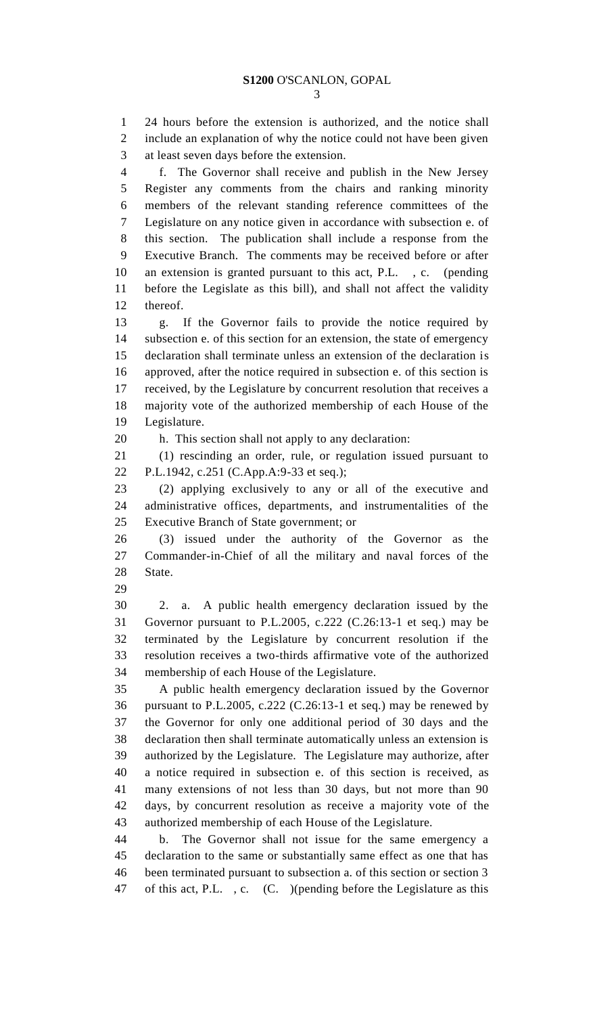24 hours before the extension is authorized, and the notice shall include an explanation of why the notice could not have been given at least seven days before the extension. f. The Governor shall receive and publish in the New Jersey Register any comments from the chairs and ranking minority members of the relevant standing reference committees of the Legislature on any notice given in accordance with subsection e. of this section. The publication shall include a response from the Executive Branch. The comments may be received before or after an extension is granted pursuant to this act, P.L. , c. (pending before the Legislate as this bill), and shall not affect the validity thereof. g. If the Governor fails to provide the notice required by subsection e. of this section for an extension, the state of emergency declaration shall terminate unless an extension of the declaration is approved, after the notice required in subsection e. of this section is received, by the Legislature by concurrent resolution that receives a majority vote of the authorized membership of each House of the Legislature. h. This section shall not apply to any declaration: (1) rescinding an order, rule, or regulation issued pursuant to P.L.1942, c.251 (C.App.A:9-33 et seq.); (2) applying exclusively to any or all of the executive and administrative offices, departments, and instrumentalities of the Executive Branch of State government; or (3) issued under the authority of the Governor as the Commander-in-Chief of all the military and naval forces of the State. 2. a. A public health emergency declaration issued by the Governor pursuant to P.L.2005, c.222 (C.26:13-1 et seq.) may be terminated by the Legislature by concurrent resolution if the resolution receives a two-thirds affirmative vote of the authorized membership of each House of the Legislature. A public health emergency declaration issued by the Governor pursuant to P.L.2005, c.222 (C.26:13-1 et seq.) may be renewed by the Governor for only one additional period of 30 days and the declaration then shall terminate automatically unless an extension is authorized by the Legislature. The Legislature may authorize, after a notice required in subsection e. of this section is received, as many extensions of not less than 30 days, but not more than 90 days, by concurrent resolution as receive a majority vote of the authorized membership of each House of the Legislature. b. The Governor shall not issue for the same emergency a declaration to the same or substantially same effect as one that has been terminated pursuant to subsection a. of this section or section 3 of this act, P.L. , c. (C. )(pending before the Legislature as this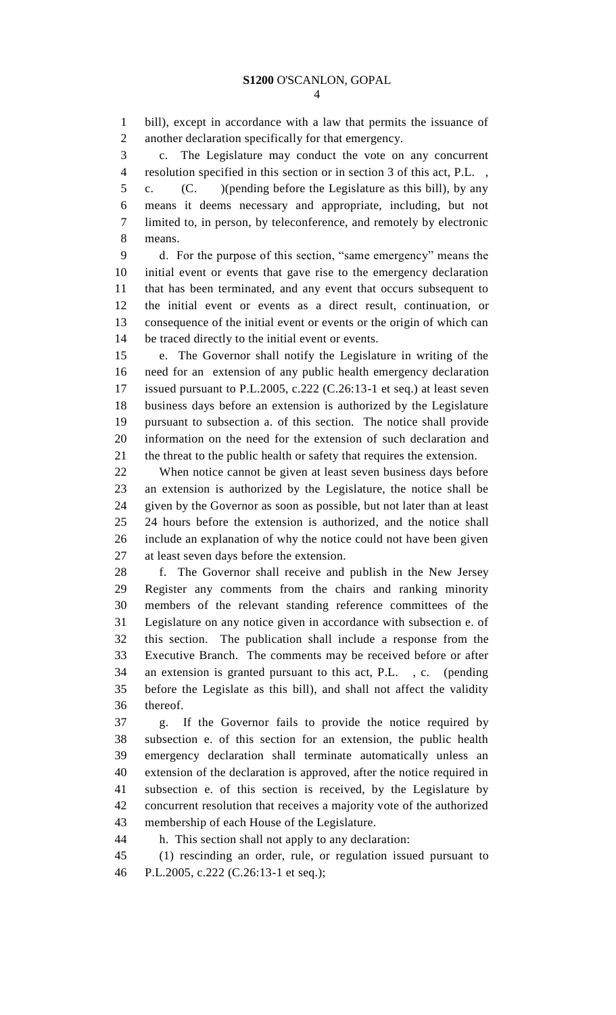bill), except in accordance with a law that permits the issuance of another declaration specifically for that emergency.

 c. The Legislature may conduct the vote on any concurrent resolution specified in this section or in section 3 of this act, P.L. ,

 c. (C. )(pending before the Legislature as this bill), by any means it deems necessary and appropriate, including, but not limited to, in person, by teleconference, and remotely by electronic means.

 d. For the purpose of this section, "same emergency" means the initial event or events that gave rise to the emergency declaration that has been terminated, and any event that occurs subsequent to the initial event or events as a direct result, continuation, or consequence of the initial event or events or the origin of which can be traced directly to the initial event or events.

 e. The Governor shall notify the Legislature in writing of the need for an extension of any public health emergency declaration issued pursuant to P.L.2005, c.222 (C.26:13-1 et seq.) at least seven business days before an extension is authorized by the Legislature pursuant to subsection a. of this section. The notice shall provide information on the need for the extension of such declaration and the threat to the public health or safety that requires the extension.

 When notice cannot be given at least seven business days before an extension is authorized by the Legislature, the notice shall be given by the Governor as soon as possible, but not later than at least 24 hours before the extension is authorized, and the notice shall include an explanation of why the notice could not have been given at least seven days before the extension.

 f. The Governor shall receive and publish in the New Jersey Register any comments from the chairs and ranking minority members of the relevant standing reference committees of the Legislature on any notice given in accordance with subsection e. of this section. The publication shall include a response from the Executive Branch. The comments may be received before or after an extension is granted pursuant to this act, P.L. , c. (pending before the Legislate as this bill), and shall not affect the validity thereof.

 g. If the Governor fails to provide the notice required by subsection e. of this section for an extension, the public health emergency declaration shall terminate automatically unless an extension of the declaration is approved, after the notice required in subsection e. of this section is received, by the Legislature by concurrent resolution that receives a majority vote of the authorized membership of each House of the Legislature.

h. This section shall not apply to any declaration:

 (1) rescinding an order, rule, or regulation issued pursuant to P.L.2005, c.222 (C.26:13-1 et seq.);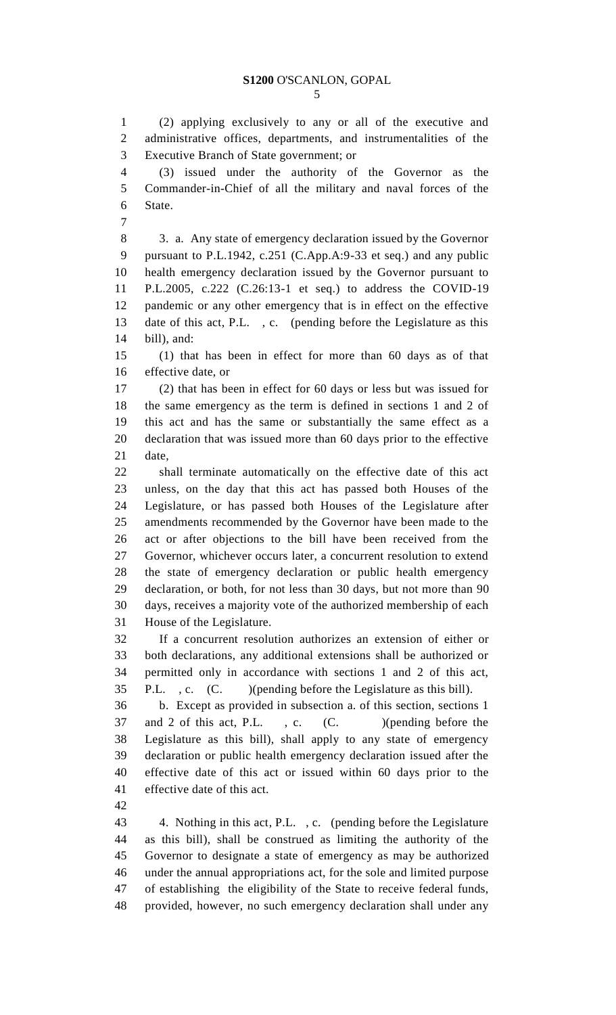(2) applying exclusively to any or all of the executive and administrative offices, departments, and instrumentalities of the Executive Branch of State government; or

 (3) issued under the authority of the Governor as the Commander-in-Chief of all the military and naval forces of the State.

 3. a. Any state of emergency declaration issued by the Governor pursuant to P.L.1942, c.251 (C.App.A:9-33 et seq.) and any public health emergency declaration issued by the Governor pursuant to P.L.2005, c.222 (C.26:13-1 et seq.) to address the COVID-19 pandemic or any other emergency that is in effect on the effective date of this act, P.L. , c. (pending before the Legislature as this bill), and:

 (1) that has been in effect for more than 60 days as of that effective date, or

 (2) that has been in effect for 60 days or less but was issued for the same emergency as the term is defined in sections 1 and 2 of this act and has the same or substantially the same effect as a declaration that was issued more than 60 days prior to the effective date,

 shall terminate automatically on the effective date of this act unless, on the day that this act has passed both Houses of the Legislature, or has passed both Houses of the Legislature after amendments recommended by the Governor have been made to the act or after objections to the bill have been received from the Governor, whichever occurs later, a concurrent resolution to extend the state of emergency declaration or public health emergency declaration, or both, for not less than 30 days, but not more than 90 days, receives a majority vote of the authorized membership of each House of the Legislature.

 If a concurrent resolution authorizes an extension of either or both declarations, any additional extensions shall be authorized or permitted only in accordance with sections 1 and 2 of this act, P.L. , c. (C. )(pending before the Legislature as this bill).

 b. Except as provided in subsection a. of this section, sections 1 37 and 2 of this act, P.L., c. (C. )(pending before the Legislature as this bill), shall apply to any state of emergency declaration or public health emergency declaration issued after the effective date of this act or issued within 60 days prior to the effective date of this act.

 4. Nothing in this act, P.L. , c. (pending before the Legislature as this bill), shall be construed as limiting the authority of the Governor to designate a state of emergency as may be authorized under the annual appropriations act, for the sole and limited purpose of establishing the eligibility of the State to receive federal funds, provided, however, no such emergency declaration shall under any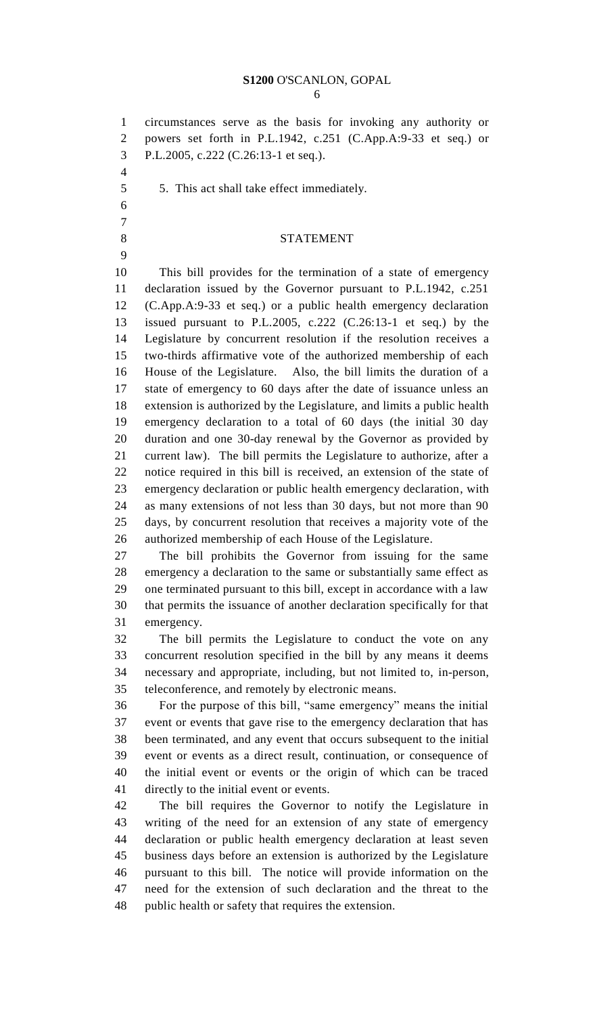### **S1200** O'SCANLON, GOPAL

 circumstances serve as the basis for invoking any authority or powers set forth in P.L.1942, c.251 (C.App.A:9-33 et seq.) or P.L.2005, c.222 (C.26:13-1 et seq.).

- 
- 5. This act shall take effect immediately.
- 
- 
- 

## 8 STATEMENT

 This bill provides for the termination of a state of emergency declaration issued by the Governor pursuant to P.L.1942, c.251 (C.App.A:9-33 et seq.) or a public health emergency declaration issued pursuant to P.L.2005, c.222 (C.26:13-1 et seq.) by the Legislature by concurrent resolution if the resolution receives a two-thirds affirmative vote of the authorized membership of each House of the Legislature. Also, the bill limits the duration of a state of emergency to 60 days after the date of issuance unless an extension is authorized by the Legislature, and limits a public health emergency declaration to a total of 60 days (the initial 30 day duration and one 30-day renewal by the Governor as provided by current law). The bill permits the Legislature to authorize, after a notice required in this bill is received, an extension of the state of emergency declaration or public health emergency declaration, with as many extensions of not less than 30 days, but not more than 90 days, by concurrent resolution that receives a majority vote of the authorized membership of each House of the Legislature.

 The bill prohibits the Governor from issuing for the same emergency a declaration to the same or substantially same effect as one terminated pursuant to this bill, except in accordance with a law that permits the issuance of another declaration specifically for that emergency.

 The bill permits the Legislature to conduct the vote on any concurrent resolution specified in the bill by any means it deems necessary and appropriate, including, but not limited to, in-person, teleconference, and remotely by electronic means.

 For the purpose of this bill, "same emergency" means the initial event or events that gave rise to the emergency declaration that has been terminated, and any event that occurs subsequent to the initial event or events as a direct result, continuation, or consequence of the initial event or events or the origin of which can be traced directly to the initial event or events.

 The bill requires the Governor to notify the Legislature in writing of the need for an extension of any state of emergency declaration or public health emergency declaration at least seven business days before an extension is authorized by the Legislature pursuant to this bill. The notice will provide information on the need for the extension of such declaration and the threat to the public health or safety that requires the extension.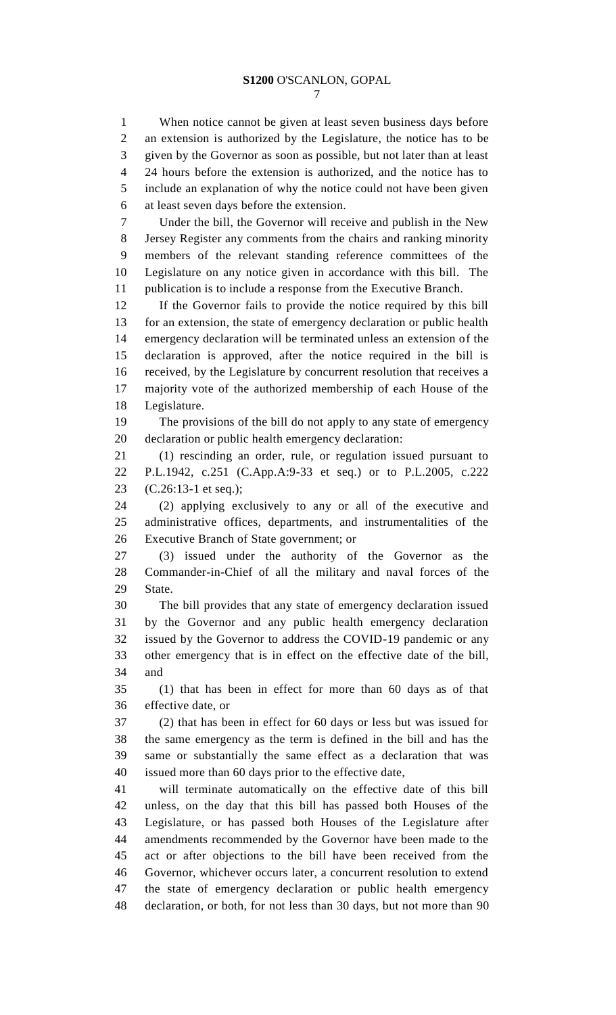When notice cannot be given at least seven business days before an extension is authorized by the Legislature, the notice has to be given by the Governor as soon as possible, but not later than at least 24 hours before the extension is authorized, and the notice has to include an explanation of why the notice could not have been given at least seven days before the extension. Under the bill, the Governor will receive and publish in the New Jersey Register any comments from the chairs and ranking minority members of the relevant standing reference committees of the Legislature on any notice given in accordance with this bill. The publication is to include a response from the Executive Branch. If the Governor fails to provide the notice required by this bill for an extension, the state of emergency declaration or public health emergency declaration will be terminated unless an extension of the declaration is approved, after the notice required in the bill is received, by the Legislature by concurrent resolution that receives a majority vote of the authorized membership of each House of the Legislature. The provisions of the bill do not apply to any state of emergency declaration or public health emergency declaration: (1) rescinding an order, rule, or regulation issued pursuant to P.L.1942, c.251 (C.App.A:9-33 et seq.) or to P.L.2005, c.222 (C.26:13-1 et seq.); (2) applying exclusively to any or all of the executive and administrative offices, departments, and instrumentalities of the Executive Branch of State government; or (3) issued under the authority of the Governor as the Commander-in-Chief of all the military and naval forces of the State. The bill provides that any state of emergency declaration issued by the Governor and any public health emergency declaration issued by the Governor to address the COVID-19 pandemic or any other emergency that is in effect on the effective date of the bill, and (1) that has been in effect for more than 60 days as of that effective date, or (2) that has been in effect for 60 days or less but was issued for the same emergency as the term is defined in the bill and has the same or substantially the same effect as a declaration that was issued more than 60 days prior to the effective date, will terminate automatically on the effective date of this bill unless, on the day that this bill has passed both Houses of the Legislature, or has passed both Houses of the Legislature after amendments recommended by the Governor have been made to the act or after objections to the bill have been received from the Governor, whichever occurs later, a concurrent resolution to extend the state of emergency declaration or public health emergency declaration, or both, for not less than 30 days, but not more than 90